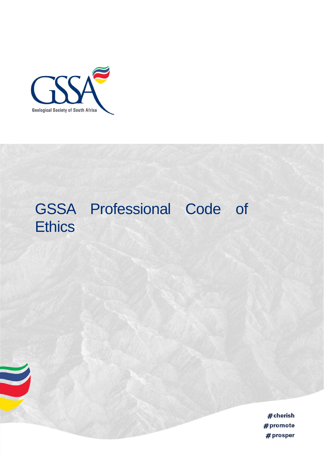

# GSSA Professional Code of **Ethics**

 $#$ cherish #promote # prosper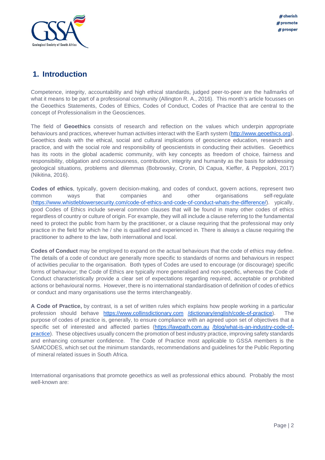

# **1. Introduction**

Competence, integrity, accountability and high ethical standards, judged peer-to-peer are the hallmarks of what it means to be part of a professional community (Allington R. A., 2016). This month's article focusses on the Geoethics Statements, Codes of Ethics, Codes of Conduct, Codes of Practice that are central to the concept of Professionalism in the Geosciences.

The field of **Geoethics** consists of research and reflection on the values which underpin appropriate behaviours and practices, wherever human activities interact with the Earth system [\(http://www.geoethics.org\)](http://www.geoethics.org/). Geoethics deals with the ethical, social and cultural implications of geoscience education, research and practice, and with the social role and responsibility of geoscientists in conducting their activities. Geoethics has its roots in the global academic community, with key concepts as freedom of choice, fairness and responsibility, obligation and consciousness, contribution, integrity and humanity as the basis for addressing geological situations, problems and dilemmas (Bobrowsky, Cronin, Di Capua, Kieffer, & Peppoloni, 2017) (Nikitina, 2016).

**Codes of ethics**, typically, govern decision-making, and codes of conduct, govern actions, represent two common ways that companies and other organisations self-regulate [\(https://www.whistleblowersecurity.com/code-of-ethics-and-code-of-conduct-whats-the-difference/\)](https://www.whistleblowersecurity.com/code-of-ethics-and-code-of-conduct-whats-the-difference/). ypically, good Codes of Ethics include several common clauses that will be found in many other codes of ethics regardless of country or culture of origin. For example, they will all include a clause referring to the fundamental need to protect the public from harm by the practitioner, or a clause requiring that the professional may only practice in the field for which he / she is qualified and experienced in. There is always a clause requiring the practitioner to adhere to the law, both international and local.

**Codes of Conduct** may be employed to expand on the actual behaviours that the code of ethics may define. The details of a code of conduct are generally more specific to standards of norms and behaviours in respect of activities peculiar to the organisation. Both types of Codes are used to encourage (or discourage) specific forms of behaviour; the Code of Ethics are typically more generalised and non-specific, whereas the Code of Conduct characteristically provide a clear set of expectations regarding required, acceptable or prohibited actions or behavioural norms. However, there is no international standardisation of definition of codes of ethics or conduct and many organisations use the terms interchangeably.

**A Code of Practice,** by contrast, is a set of written rules which explains how people working in a particular profession should behave [https://www.collinsdictionary.com](https://www.collinsdictionary.com/) /dictionary/english/code-of-practice). The purpose of codes of practice is, generally, to ensure compliance with an agreed upon set of objectives that a specific set of interested and affected parties [\(https://lawpath.com.au](https://lawpath.com.au/) /blog/what-is-an-industry-code-ofpractice). These objectives usually concern the promotion of best industry practice, improving safety standards and enhancing consumer confidence. The Code of Practice most applicable to GSSA members is the SAMCODES, which set out the minimum standards, recommendations and guidelines for the Public Reporting of mineral related issues in South Africa.

International organisations that promote geoethics as well as professional ethics abound. Probably the most well-known are: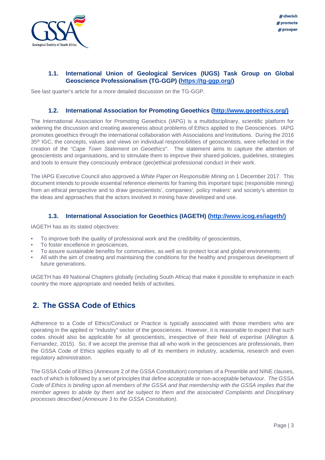

## **1.1. International Union of Geological Services (IUGS) Task Group on Global Geoscience Professionalism (TG-GGP) [\(https://tg-ggp.org/\)](https://tg-ggp.org/)**

See last quarter's article for a more detailed discussion on the TG-GGP.

#### **1.2. International Association for Promoting Geoethics [\(http://www.geoethics.org/\)](http://www.geoethics.org/)**

The International Association for Promoting Geoethics (IAPG) is a multidisciplinary, scientific platform for widening the discussion and creating awareness about problems of Ethics applied to the Geosciences. IAPG promotes geoethics through the international collaboration with Associations and Institutions. During the 2016 35<sup>th</sup> IGC, the concepts, values and views on individual responsibilities of geoscientists, were reflected in the creation of the *"Cape Town Statement on Geoethics*". The statement aims to capture the attention of geoscientists and organisations, and to stimulate them to improve their shared policies, guidelines, strategies and tools to ensure they consciously embrace (geo)ethical professional conduct in their work.

The IAPG Executive Council also approved a *White Paper on Responsible Mining* on 1 December 2017. This document intends to provide essential reference elements for framing this important topic (responsible mining) from an ethical perspective and to draw geoscientists', companies', policy makers' and society's attention to the ideas and approaches that the actors involved in mining have developed and use.

#### **1.3. International Association for Geoethics (IAGETH) [\(http://www.icog.es/iageth/\)](http://www.icog.es/iageth/)**

IAGETH has as its stated objectives:

- To improve both the quality of professional work and the credibility of geoscientists,
- To foster excellence in geosciences,
- To assure sustainable benefits for communities, as well as to protect local and global environments;
- All with the aim of creating and maintaining the conditions for the healthy and prosperous development of future generations.

IAGETH has 49 National Chapters globally (including South Africa) that make it possible to emphasize in each country the more appropriate and needed fields of activities.

# **2. The GSSA Code of Ethics**

Adherence to a Code of Ethics/Conduct or Practice is typically associated with those members who are operating in the applied or "industry" sector of the geosciences. However, it is reasonable to expect that such codes should also be applicable for all geoscientists, irrespective of their field of expertise (Allington & Fernandez, 2015). So, if we accept the premise that all who work in the geosciences are professionals, then the GSSA Code of Ethics applies equally to all of its members in industry, academia, research and even regulatory administration.

The GSSA Code of Ethics (Annexure 2 of the GSSA Constitution) comprises of a Preamble and NINE clauses, each of which is followed by a set of principles that define acceptable or non-acceptable behaviour. *The GSSA Code of Ethics is binding upon all members of the GSSA and that membership with the GSSA implies that the member agrees to abide by them and be subject to them and the associated Complaints and Disciplinary processes described (Annexure 3 to the GSSA Constitution).*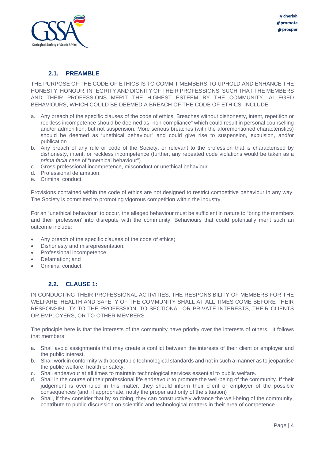

#### **2.1. PREAMBLE**

THE PURPOSE OF THE CODE OF ETHICS IS TO COMMIT MEMBERS TO UPHOLD AND ENHANCE THE HONESTY, HONOUR, INTEGRITY AND DIGNITY OF THEIR PROFESSIONS, SUCH THAT THE MEMBERS AND THEIR PROFESSIONS MERIT THE HIGHEST ESTEEM BY THE COMMUNITY. ALLEGED BEHAVIOURS, WHICH COULD BE DEEMED A BREACH OF THE CODE OF ETHICS, INCLUDE:

- a. Any breach of the specific clauses of the code of ethics. Breaches without dishonesty, intent, repetition or reckless incompetence should be deemed as "non-compliance" which could result in personal counselling and/or admonition, but not suspension. More serious breaches (with the aforementioned characteristics) should be deemed as 'unethical behaviour" and could give rise to suspension, expulsion, and/or publication
- b. Any breach of any rule or code of the Society, or relevant to the profession that is characterised by dishonesty, intent, or reckless incompetence (further, any repeated code violations would be taken as a *prima facia* case of "unethical behaviour").
- c. Gross professional incompetence, misconduct or unethical behaviour
- d. Professional defamation.
- e. Criminal conduct.

Provisions contained within the code of ethics are not designed to restrict competitive behaviour in any way. The Society is committed to promoting vigorous competition within the industry.

For an "unethical behaviour" to occur, the alleged behaviour must be sufficient in nature to "bring the members and their profession' into disrepute with the community. Behaviours that could potentially merit such an outcome include:

- Any breach of the specific clauses of the code of ethics;
- Dishonesty and misrepresentation;
- Professional incompetence;
- Defamation; and
- Criminal conduct.

## **2.2. CLAUSE 1:**

IN CONDUCTING THEIR PROFESSIONAL ACTIVITIES, THE RESPONSIBILITY OF MEMBERS FOR THE WELFARE, HEALTH AND SAFETY OF THE COMMUNITY SHALL AT ALL TIMES COME BEFORE THEIR RESPONSIBILITY TO THE PROFESSION, TO SECTIONAL OR PRIVATE INTERESTS, THEIR CLIENTS OR EMPLOYERS, OR TO OTHER MEMBERS.

The principle here is that the interests of the community have priority over the interests of others. It follows that members:

- a. Shall avoid assignments that may create a conflict between the interests of their client or employer and the public interest.
- b. Shall work in conformity with acceptable technological standards and not in such a manner as to jeopardise the public welfare, health or safety.
- c. Shall endeavour at all times to maintain technological services essential to public welfare.
- d. Shall in the course of their professional life endeavour to promote the well-being of the community. If their judgement is over-ruled in this matter, they should inform their client or employer of the possible consequences (and, if appropriate, notify the proper authority of the situation)
- e. Shall, if they consider that by so doing, they can constructively advance the well-being of the community, contribute to public discussion on scientific and technological matters in their area of competence.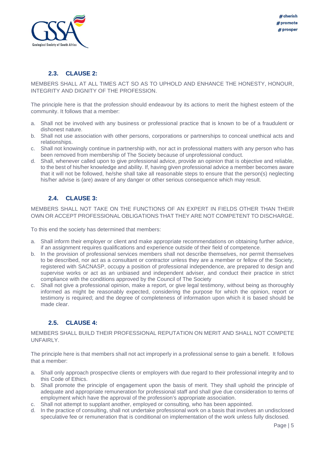

## **2.3. CLAUSE 2:**

MEMBERS SHALL AT ALL TIMES ACT SO AS TO UPHOLD AND ENHANCE THE HONESTY, HONOUR, INTEGRITY AND DIGNITY OF THE PROFESSION.

The principle here is that the profession should endeavour by its actions to merit the highest esteem of the community. It follows that a member:

- a. Shall not be involved with any business or professional practice that is known to be of a fraudulent or dishonest nature.
- b. Shall not use association with other persons, corporations or partnerships to conceal unethical acts and relationships.
- c. Shall not knowingly continue in partnership with, nor act in professional matters with any person who has been removed from membership of The Society because of unprofessional conduct.
- d. Shall, whenever called upon to give professional advice, provide an opinion that is objective and reliable, to the best of his/her knowledge and ability. If, having given professional advice a member becomes aware that it will not be followed, he/she shall take all reasonable steps to ensure that the person(s) neglecting his/her advise is (are) aware of any danger or other serious consequence which may result.

# **2.4. CLAUSE 3:**

MEMBERS SHALL NOT TAKE ON THE FUNCTIONS OF AN EXPERT IN FIELDS OTHER THAN THEIR OWN OR ACCEPT PROFESSIONAL OBLIGATIONS THAT THEY ARE NOT COMPETENT TO DISCHARGE.

To this end the society has determined that members:

- a. Shall inform their employer or client and make appropriate recommendations on obtaining further advice, if an assignment requires qualifications and experience outside of their field of competence.
- b. In the provision of professional services members shall not describe themselves, nor permit themselves to be described, nor act as a consultant or contractor unless they are a member or fellow of the Society, registered with SACNASP, occupy a position of professional independence, are prepared to design and supervise works or act as an unbiased and independent adviser, and conduct their practice in strict compliance with the conditions approved by the Council of The Society
- c. Shall not give a professional opinion, make a report, or give legal testimony, without being as thoroughly informed as might be reasonably expected, considering the purpose for which the opinion, report or testimony is required; and the degree of completeness of information upon which it is based should be made clear.

#### **2.5. CLAUSE 4:**

MEMBERS SHALL BUILD THEIR PROFESSIONAL REPUTATION ON MERIT AND SHALL NOT COMPETE UNFAIRLY.

The principle here is that members shall not act improperly in a professional sense to gain a benefit. It follows that a member:

- a. Shall only approach prospective clients or employers with due regard to their professional integrity and to this Code of Ethics.
- b. Shall promote the principle of engagement upon the basis of merit. They shall uphold the principle of adequate and appropriate remuneration for professional staff and shall give due consideration to terms of employment which have the approval of the profession's appropriate association.
- c. Shall not attempt to supplant another, employed or consulting, who has been appointed.
- d. In the practice of consulting, shall not undertake professional work on a basis that involves an undisclosed speculative fee or remuneration that is conditional on implementation of the work unless fully disclosed.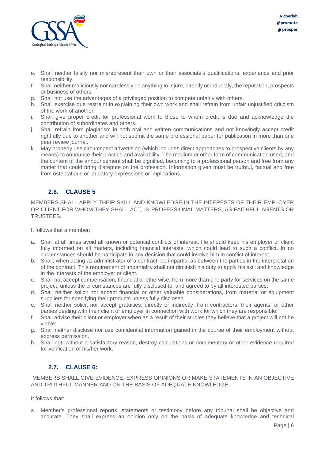

- e. Shall neither falsify nor misrepresent their own or their associate's qualifications, experience and prior responsibility.
- f. Shall neither maliciously nor carelessly do anything to injure, directly or indirectly, the reputation, prospects or business of others.
- g. Shall not use the advantages of a privileged position to compete unfairly with others.
- h. Shall exercise due restraint in explaining their own work and shall refrain from unfair unjustified criticism of the work of another.
- i. Shall give proper credit for professional work to those to whom credit is due and acknowledge the contribution of subordinates and others.
- j. Shall refrain from plagiarism in both oral and written communications and not knowingly accept credit rightfully due to another and will not submit the same professional paper for publication in more than one peer review journal.
- k. May properly use circumspect advertising (which includes direct approaches to prospective clients by any means) to announce their practice and availability. The medium or other form of communication used, and the content of the announcement shall be dignified, becoming to a professional person and free from any matter that could bring disrepute on the profession. Information given must be truthful, factual and free from ostentatious or laudatory expressions or implications.

## **2.6. CLAUSE 5**

MEMBERS SHALL APPLY THEIR SKILL AND KNOWLEDGE IN THE INTERESTS OF THEIR EMPLOYER OR CLIENT FOR WHOM THEY SHALL ACT, IN PROFESSIONAL MATTERS, AS FAITHFUL AGENTS OR TRUSTEES.

It follows that a member:

- a. Shall at all times avoid all known or potential conflicts of interest. He should keep his employer or client fully informed on all matters, including financial interests, which could lead to such a conflict. In no circumstances should he participate in any decision that could involve him in conflict of interest.
- b. Shall, when acting as administrator of a contract, be impartial as between the parties in the interpretation of the contract. This requirement of impartiality shall not diminish his duty to apply his skill and knowledge in the interests of the employer or client.
- c. Shall not accept compensation, financial or otherwise, from more than one party for services on the same project, unless the circumstances are fully disclosed to, and agreed to by all interested parties.
- d. Shall neither solicit nor accept financial or other valuable considerations, from material or equipment suppliers for specifying their products unless fully disclosed.
- e. Shall neither solicit nor accept gratuities, directly or indirectly, from contractors, their agents, or other parties dealing with their client or employer in connection with work for which they are responsible;
- f. Shall advise their client or employer when as a result of their studies they believe that a project will not be viable;
- g. Shall neither disclose nor use confidential information gained in the course of their employment without express permission.
- h. Shall not, without a satisfactory reason, destroy calculations or documentary or other evidence required for verification of his/her work.

## **2.7. CLAUSE 6:**

MEMBERS SHALL GIVE EVIDENCE, EXPRESS OPINIONS OR MAKE STATEMENTS IN AN OBJECTIVE AND TRUTHFUL MANNER AND ON THE BASIS OF ADEQUATE KNOWLEDGE.

It follows that:

a. Member's professional reports, statements or testimony before any tribunal shall be objective and accurate. They shall express an opinion only on the basis of adequate knowledge and technical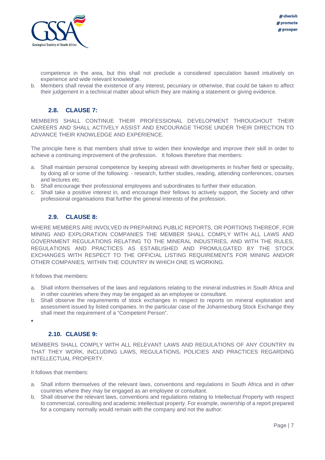

competence in the area, but this shall not preclude a considered speculation based intuitively on experience and wide relevant knowledge.

b. Members shall reveal the existence of any interest, pecuniary or otherwise, that could be taken to affect their judgement in a technical matter about which they are making a statement or giving evidence.

#### **2.8. CLAUSE 7:**

MEMBERS SHALL CONTINUE THEIR PROFESSIONAL DEVELOPMENT THROUGHOUT THEIR CAREERS AND SHALL ACTIVELY ASSIST AND ENCOURAGE THOSE UNDER THEIR DIRECTION TO ADVANCE THEIR KNOWLEDGE AND EXPERIENCE.

The principle here is that members shall strive to widen their knowledge and improve their skill in order to achieve a continuing improvement of the profession. It follows therefore that members:

- a. Shall maintain personal competence by keeping abreast with developments in his/her field or speciality, by doing all or some of the following: - research, further studies, reading, attending conferences, courses and lectures etc.
- b. Shall encourage their professional employees and subordinates to further their education.
- c. Shall take a positive interest in, and encourage their fellows to actively support, the Society and other professional organisations that further the general interests of the profession.

#### **2.9. CLAUSE 8:**

WHERE MEMBERS ARE INVOLVED IN PREPARING PUBLIC REPORTS, OR PORTIONS THEREOF, FOR MINING AND EXPLORATION COMPANIES THE MEMBER SHALL COMPLY WITH ALL LAWS AND GOVERNMENT REGULATIONS RELATING TO THE MINERAL INDUSTRIES, AND WITH THE RULES, REGULATIONS AND PRACTICES AS ESTABLISHED AND PROMULGATED BY THE STOCK EXCHANGES WITH RESPECT TO THE OFFICIAL LISTING REQUIREMENTS FOR MINING AND/OR OTHER COMPANIES, WITHIN THE COUNTRY IN WHICH ONE IS WORKING.

It follows that members:

- a. Shall inform themselves of the laws and regulations relating to the mineral industries in South Africa and in other countries where they may be engaged as an employee or consultant.
- b. Shall observe the requirements of stock exchanges in respect to reports on mineral exploration and assessment issued by listed companies. In the particular case of the Johannesburg Stock Exchange they shall meet the requirement of a "Competent Person".
- •

#### **2.10. CLAUSE 9:**

MEMBERS SHALL COMPLY WITH ALL RELEVANT LAWS AND REGULATIONS OF ANY COUNTRY IN THAT THEY WORK, INCLUDING LAWS, REGULATIONS, POLICIES AND PRACTICES REGARDING INTELLECTUAL PROPERTY.

It follows that members:

- a. Shall inform themselves of the relevant laws, conventions and regulations in South Africa and in other countries where they may be engaged as an employee or consultant.
- b. Shall observe the relevant laws, conventions and regulations relating to Intellectual Property with respect to commercial, consulting and academic intellectual property. For example, ownership of a report prepared for a company normally would remain with the company and not the author.